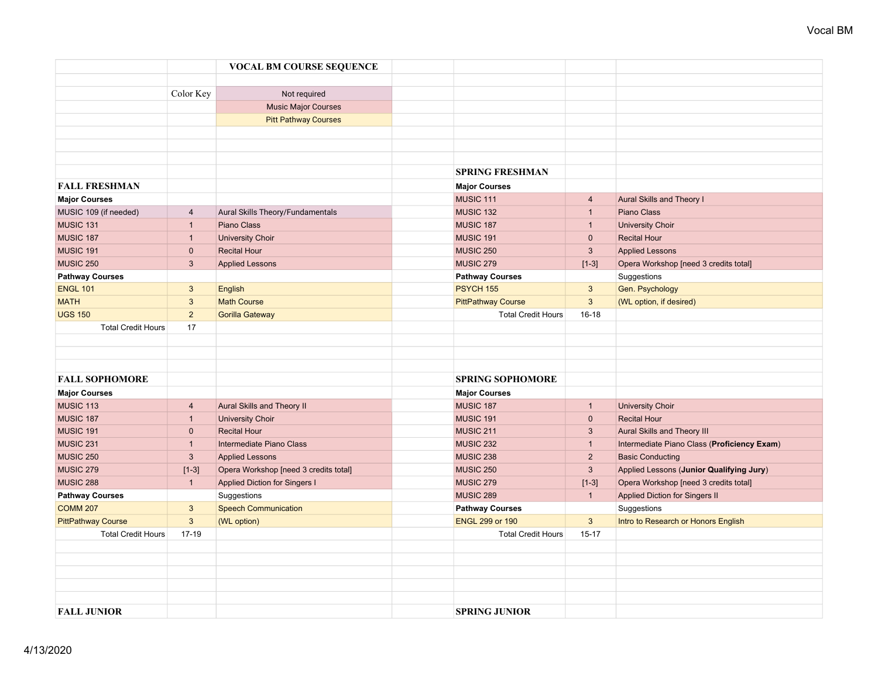|                           |                | <b>VOCAL BM COURSE SEQUENCE</b>       |                           |                |                                             |
|---------------------------|----------------|---------------------------------------|---------------------------|----------------|---------------------------------------------|
|                           |                |                                       |                           |                |                                             |
|                           | Color Key      | Not required                          |                           |                |                                             |
|                           |                | <b>Music Major Courses</b>            |                           |                |                                             |
|                           |                | <b>Pitt Pathway Courses</b>           |                           |                |                                             |
|                           |                |                                       |                           |                |                                             |
|                           |                |                                       |                           |                |                                             |
|                           |                |                                       |                           |                |                                             |
|                           |                |                                       | <b>SPRING FRESHMAN</b>    |                |                                             |
| <b>FALL FRESHMAN</b>      |                |                                       | <b>Major Courses</b>      |                |                                             |
| <b>Major Courses</b>      |                |                                       | MUSIC <sub>111</sub>      | $\overline{4}$ | Aural Skills and Theory I                   |
| MUSIC 109 (if needed)     | $\overline{4}$ | Aural Skills Theory/Fundamentals      | MUSIC <sub>132</sub>      | $\overline{1}$ | Piano Class                                 |
| MUSIC <sub>131</sub>      | $\mathbf{1}$   | <b>Piano Class</b>                    | MUSIC 187                 | $\mathbf{1}$   | <b>University Choir</b>                     |
| MUSIC 187                 | $\mathbf{1}$   | <b>University Choir</b>               | MUSIC 191                 | $\mathbf 0$    | <b>Recital Hour</b>                         |
| MUSIC 191                 | $\mathbf 0$    | <b>Recital Hour</b>                   | <b>MUSIC 250</b>          | $\mathbf{3}$   | <b>Applied Lessons</b>                      |
| <b>MUSIC 250</b>          | $\mathbf{3}$   | <b>Applied Lessons</b>                | MUSIC 279                 | $[1-3]$        | Opera Workshop [need 3 credits total]       |
| <b>Pathway Courses</b>    |                |                                       | <b>Pathway Courses</b>    |                | Suggestions                                 |
| <b>ENGL 101</b>           | $\mathbf{3}$   | English                               | <b>PSYCH 155</b>          | $\mathbf{3}$   | Gen. Psychology                             |
| <b>MATH</b>               | $\mathbf{3}$   | <b>Math Course</b>                    | <b>PittPathway Course</b> | $\mathbf{3}$   | (WL option, if desired)                     |
| <b>UGS 150</b>            | $\overline{2}$ | <b>Gorilla Gateway</b>                | <b>Total Credit Hours</b> | $16-18$        |                                             |
| <b>Total Credit Hours</b> | 17             |                                       |                           |                |                                             |
|                           |                |                                       |                           |                |                                             |
|                           |                |                                       |                           |                |                                             |
|                           |                |                                       |                           |                |                                             |
| <b>FALL SOPHOMORE</b>     |                |                                       | <b>SPRING SOPHOMORE</b>   |                |                                             |
| <b>Major Courses</b>      |                |                                       | <b>Major Courses</b>      |                |                                             |
| MUSIC 113                 | $\overline{4}$ | Aural Skills and Theory II            | MUSIC 187                 | $\mathbf{1}$   | <b>University Choir</b>                     |
| MUSIC 187                 | $\mathbf{1}$   | <b>University Choir</b>               | MUSIC 191                 | $\pmb{0}$      | <b>Recital Hour</b>                         |
| MUSIC 191                 | $\mathbf 0$    | <b>Recital Hour</b>                   | <b>MUSIC 211</b>          | $\mathbf{3}$   | Aural Skills and Theory III                 |
| MUSIC 231                 | $\mathbf{1}$   | Intermediate Piano Class              | <b>MUSIC 232</b>          | $\mathbf{1}$   | Intermediate Piano Class (Proficiency Exam) |
| <b>MUSIC 250</b>          | $\mathbf{3}$   | <b>Applied Lessons</b>                | MUSIC 238                 | $\overline{2}$ | <b>Basic Conducting</b>                     |
| <b>MUSIC 279</b>          | $[1-3]$        | Opera Workshop [need 3 credits total] | <b>MUSIC 250</b>          | $\mathbf{3}$   | Applied Lessons (Junior Qualifying Jury)    |
| MUSIC 288                 | $\mathbf{1}$   | <b>Applied Diction for Singers I</b>  | <b>MUSIC 279</b>          | $[1-3]$        | Opera Workshop [need 3 credits total]       |
| <b>Pathway Courses</b>    |                | Suggestions                           | MUSIC 289                 | $\mathbf{1}$   | <b>Applied Diction for Singers II</b>       |
| <b>COMM 207</b>           | $\mathbf{3}$   | <b>Speech Communication</b>           | <b>Pathway Courses</b>    |                | Suggestions                                 |
| <b>PittPathway Course</b> | $\mathbf{3}$   | (WL option)                           | <b>ENGL 299 or 190</b>    | 3 <sup>1</sup> | Intro to Research or Honors English         |
| <b>Total Credit Hours</b> | $17-19$        |                                       | <b>Total Credit Hours</b> | $15 - 17$      |                                             |
|                           |                |                                       |                           |                |                                             |
|                           |                |                                       |                           |                |                                             |
|                           |                |                                       |                           |                |                                             |
|                           |                |                                       |                           |                |                                             |
|                           |                |                                       |                           |                |                                             |
| <b>FALL JUNIOR</b>        |                |                                       | <b>SPRING JUNIOR</b>      |                |                                             |